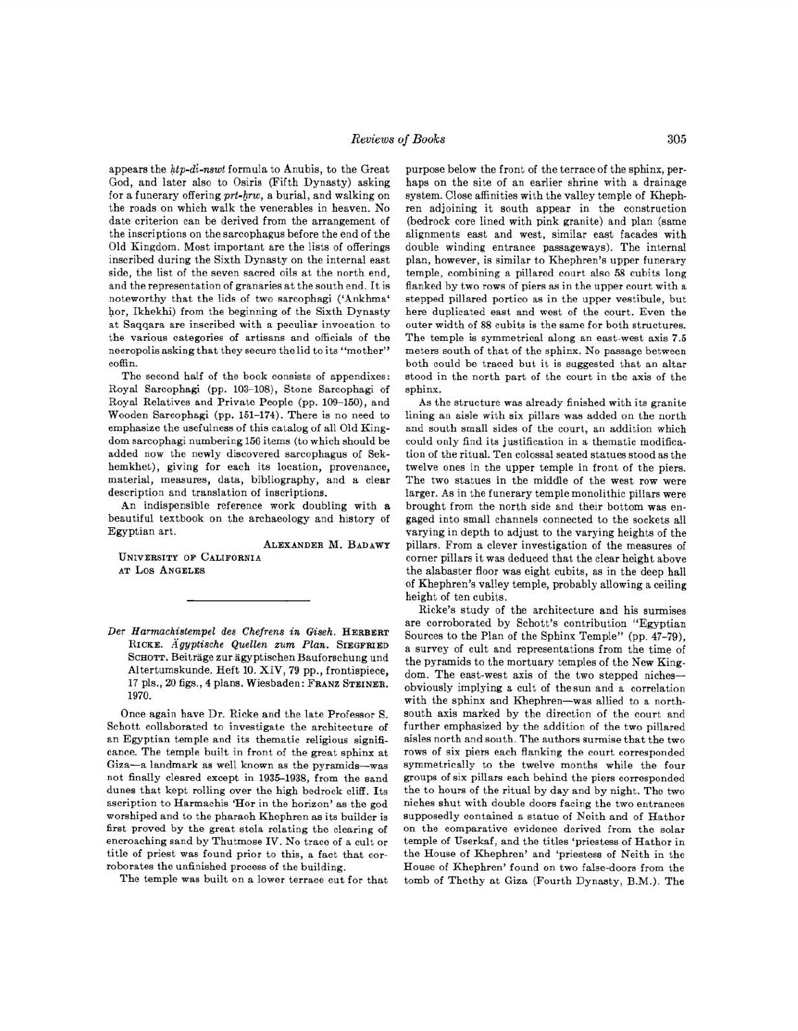appears the *hip-dl-nswt* formula to Anubis, to the Great God, and later also to Osiris (Fifth Dynasty) asking for a funerary offering *prt-hrw*, a burial, and walking on the roads on which walk the venerables in heaven. No date criterion can be derived from the arrangement of the inscriptions on the sarcophagus before the end of the Old Kingdom. Most important are the lists of offerings inscribed during the Sixth Dynasty on the internal east side, the list of the seven sacred oils at the north end, and the representation of granaries at the south end. It is noteworthy that the lids of two sarcophagi ('Ankhma' hor, Ikhekhi) from the beginning of the Sixth Dynasty at Saqqara are inscribed with a peculiar invocation to the various categories of artisans and officials of the necropolis asking that they secure the lid to its "mother" coffin.

The second half of the book consists of appendixes: Royal Sarcophagi (pp. 103-108), Stone Sarcophagi of Royal Relatives and Private People (pp. 109-150), and Wooden Sarcophagi (pp. 151-174). There is no need to emphasize the usefulness of this catalog of all Old Kingdom sarcophagi numbering 156 items (to which should be added now the newly discovered sarcophagus of Sekhemkhet), giving for each its location, provenance, material, measures, data, bibliography, and a clear description and translation of inscriptions.

An indispensible reference work doubling with a beautiful textbook on the archaeology and history of Egyptian art.

ALEXANDER M. BADAWY UNIVERSITY OF CALIFORNIA AT LOS ANGELES

Once again have Dr. Ricke and the late Professor S. Schott collaborated to investigate the architecture of an Egyptian temple and its thematic religious significance. The temple built in front of the great sphinx at Giza-a landmark as well known as the pyramids-was not finally cleared except in 1935-1938, from the sand dunes that kept rolling over the high bedrock cliff. Its ascription to Harmachis 'Hor in the horizon' as the god worshiped and to the pharaoh Khephren as its builder is first proved by the great stela relating the clearing of encroaching sand by Thutmose IV. No trace of a cult or title of priest was found prior to this, a fact that corroborates the unfinished process of the building.

The temple was built on a lower terrace cut for that

purpose below the front of the terrace of the sphinx, perhaps on the site of an earlier shrine with a drainage system. Close affinities with the valley temple of Khephren adjoining it south appear in the construction (bedrock core lined with pink granite) and plan (same alignments east and west, similar east facades with double winding entrance passageways). The internal plan, however, is similar to Khephren's upper funerary temple, combining a pillared court also 58 cubits long flanked by two rows of piers as in the upper court with a stepped pillared portico as in the upper vestibule, but here duplicated east and west of the court. Even the outer width of 88 cubits is the same for both structures. The temple is symmetrical along an east-west axis 7.5 meters south of that of the sphinx. No passage between both could be traced but it is suggested that an altar stood in the north part of the court in the axis of the sphinx.

As the structure was already finished with its granite lining an aisle with six pillars was added on the north and south small sides of the court, an addition which could only find its justification in a thematic modification of the ritual. Ten colossal seated statues stood as the twelve ones in the upper temple in front of the piers. The two statues in the middle of the west row were larger. As in the funerary temple monolithic pillars were brought from the north side and their bottom was engaged into small channels connected to the sockets all varying in depth to adjust to the varying heights of the pillars. From a clever investigation of the measures of corner pillars it was deduced that the clear height above the alabaster floor was eight cubits, as in the deep hall of Khephren's valley temple, probably allowing a ceiling height of ten cubits.

Ricke's study of the architecture and his surmises are corroborated by Schott's contribution "Egyptian Sources to the Plan of the Sphinx Temple" (pp. 47-79), a survey of cult and representations from the time of the pyramids to the mortuary temples of the New Kingdom. The east-west axis of the two stepped nichesobviously implying a cult of thesun and a correlation with the sphinx and Khephren-was allied to a northsouth axis marked by the direction of the court and further emphasized by the addition of the two pillared aisles north and south. The authors surmise that the two rows of six piers each flanking the court corresponded symmetrically to the twelve months while the four groups of six pillars each behind the piers corresponded the to hours of the ritual by day and by night. The two niches shut with double doors facing the two entrances supposedly contained a statue of Neith and of Hathor on the comparative evidence derived from the solar temple of Userkaf, and the titles 'priestess of Hathor in the House of Khephren' and 'priestess of Neith in the House of Khephren' found on two false-doors from the tomb of Thethy at Giza (Fourth Dynasty, B.M.). The

*Der Harmachistempel des Chefrens* in *Giseh.* HERBERT RICKE. Ägyptische Quellen zum Plan. SIEGFRIED SCHOTT. Beitrage zur agyptischen Bauforschung und Altertumskunde. Heft 10. XIV, 79 pp., frontispiece, 17 pis., 20 figs., 4 plans. Wiesbaden: FRANZ STEINER. 1970.